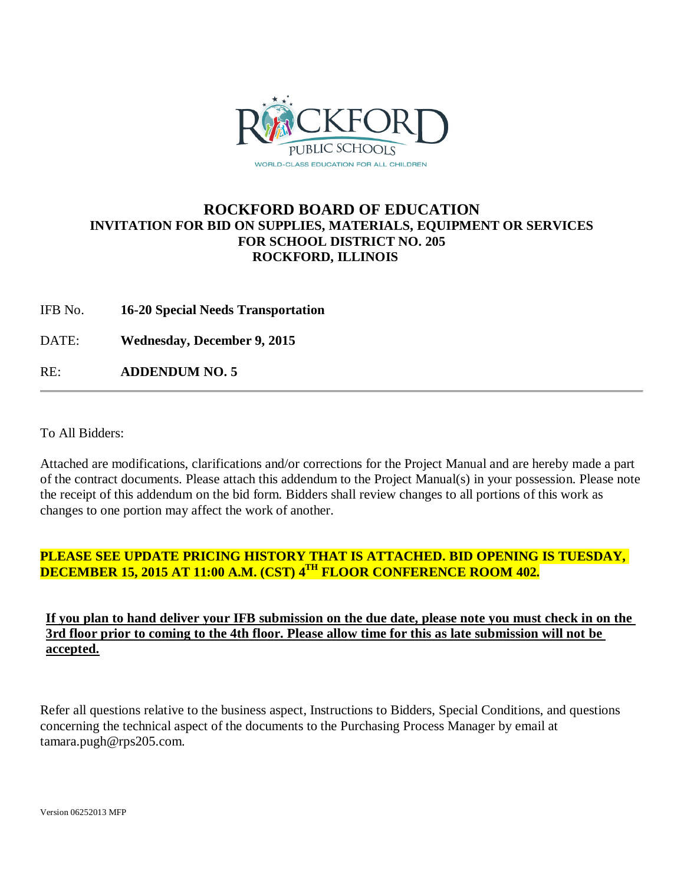

## **ROCKFORD BOARD OF EDUCATION INVITATION FOR BID ON SUPPLIES, MATERIALS, EQUIPMENT OR SERVICES FOR SCHOOL DISTRICT NO. 205 ROCKFORD, ILLINOIS**

IFB No. **16-20 Special Needs Transportation**

DATE: **Wednesday, December 9, 2015**

RE: **ADDENDUM NO. 5**

To All Bidders:

Attached are modifications, clarifications and/or corrections for the Project Manual and are hereby made a part of the contract documents. Please attach this addendum to the Project Manual(s) in your possession. Please note the receipt of this addendum on the bid form. Bidders shall review changes to all portions of this work as changes to one portion may affect the work of another.

## **PLEASE SEE UPDATE PRICING HISTORY THAT IS ATTACHED. BID OPENING IS TUESDAY, DECEMBER 15, 2015 AT 11:00 A.M. (CST) 4TH FLOOR CONFERENCE ROOM 402.**

**If you plan to hand deliver your IFB submission on the due date, please note you must check in on the 3rd floor prior to coming to the 4th floor. Please allow time for this as late submission will not be accepted.**

Refer all questions relative to the business aspect, Instructions to Bidders, Special Conditions, and questions concerning the technical aspect of the documents to the Purchasing Process Manager by email at tamara.pugh@rps205.com.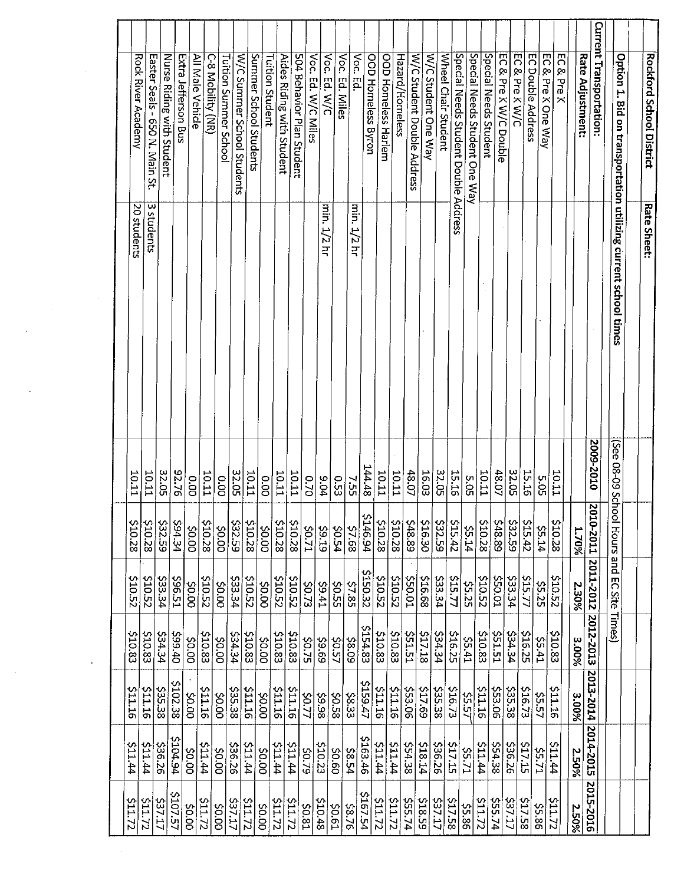| (See 08-09 Schoo |                                                                                                                                                                                                                                                             | Hours and EC Site Times)                                                                                                                                                                                                                                                                                                                                    |                                                                                                                                                                                                                                                                                                                                                    |                                                                                                                                                                                                                                                                                                                                                 |                                                                                                                                                                                                                                                                                                                      |                                                                                                                                                                                                                                                                                                                                                        |
|------------------|-------------------------------------------------------------------------------------------------------------------------------------------------------------------------------------------------------------------------------------------------------------|-------------------------------------------------------------------------------------------------------------------------------------------------------------------------------------------------------------------------------------------------------------------------------------------------------------------------------------------------------------|----------------------------------------------------------------------------------------------------------------------------------------------------------------------------------------------------------------------------------------------------------------------------------------------------------------------------------------------------|-------------------------------------------------------------------------------------------------------------------------------------------------------------------------------------------------------------------------------------------------------------------------------------------------------------------------------------------------|----------------------------------------------------------------------------------------------------------------------------------------------------------------------------------------------------------------------------------------------------------------------------------------------------------------------|--------------------------------------------------------------------------------------------------------------------------------------------------------------------------------------------------------------------------------------------------------------------------------------------------------------------------------------------------------|
|                  |                                                                                                                                                                                                                                                             |                                                                                                                                                                                                                                                                                                                                                             |                                                                                                                                                                                                                                                                                                                                                    |                                                                                                                                                                                                                                                                                                                                                 |                                                                                                                                                                                                                                                                                                                      |                                                                                                                                                                                                                                                                                                                                                        |
| 0102-6002        |                                                                                                                                                                                                                                                             | 2010-2011 2011-2012 2012-2013                                                                                                                                                                                                                                                                                                                               |                                                                                                                                                                                                                                                                                                                                                    |                                                                                                                                                                                                                                                                                                                                                 |                                                                                                                                                                                                                                                                                                                      |                                                                                                                                                                                                                                                                                                                                                        |
|                  | <b>1.70%</b>                                                                                                                                                                                                                                                | 2.30%                                                                                                                                                                                                                                                                                                                                                       | 3.00%                                                                                                                                                                                                                                                                                                                                              | 2013-2014                                                                                                                                                                                                                                                                                                                                       | 2014-2015                                                                                                                                                                                                                                                                                                            | 2015-2016<br>2.50%                                                                                                                                                                                                                                                                                                                                     |
|                  |                                                                                                                                                                                                                                                             |                                                                                                                                                                                                                                                                                                                                                             |                                                                                                                                                                                                                                                                                                                                                    |                                                                                                                                                                                                                                                                                                                                                 |                                                                                                                                                                                                                                                                                                                      |                                                                                                                                                                                                                                                                                                                                                        |
|                  |                                                                                                                                                                                                                                                             |                                                                                                                                                                                                                                                                                                                                                             |                                                                                                                                                                                                                                                                                                                                                    |                                                                                                                                                                                                                                                                                                                                                 |                                                                                                                                                                                                                                                                                                                      | <b>S11.72</b>                                                                                                                                                                                                                                                                                                                                          |
|                  |                                                                                                                                                                                                                                                             |                                                                                                                                                                                                                                                                                                                                                             |                                                                                                                                                                                                                                                                                                                                                    |                                                                                                                                                                                                                                                                                                                                                 |                                                                                                                                                                                                                                                                                                                      | <b>S5.86</b>                                                                                                                                                                                                                                                                                                                                           |
|                  |                                                                                                                                                                                                                                                             |                                                                                                                                                                                                                                                                                                                                                             |                                                                                                                                                                                                                                                                                                                                                    |                                                                                                                                                                                                                                                                                                                                                 |                                                                                                                                                                                                                                                                                                                      | <b>\$17.58</b>                                                                                                                                                                                                                                                                                                                                         |
|                  |                                                                                                                                                                                                                                                             |                                                                                                                                                                                                                                                                                                                                                             |                                                                                                                                                                                                                                                                                                                                                    |                                                                                                                                                                                                                                                                                                                                                 |                                                                                                                                                                                                                                                                                                                      | \$55.74<br><b>S37.17</b>                                                                                                                                                                                                                                                                                                                               |
|                  |                                                                                                                                                                                                                                                             |                                                                                                                                                                                                                                                                                                                                                             |                                                                                                                                                                                                                                                                                                                                                    |                                                                                                                                                                                                                                                                                                                                                 |                                                                                                                                                                                                                                                                                                                      | <b>S11.72</b>                                                                                                                                                                                                                                                                                                                                          |
|                  |                                                                                                                                                                                                                                                             |                                                                                                                                                                                                                                                                                                                                                             |                                                                                                                                                                                                                                                                                                                                                    |                                                                                                                                                                                                                                                                                                                                                 |                                                                                                                                                                                                                                                                                                                      | \$5.86                                                                                                                                                                                                                                                                                                                                                 |
|                  |                                                                                                                                                                                                                                                             |                                                                                                                                                                                                                                                                                                                                                             |                                                                                                                                                                                                                                                                                                                                                    |                                                                                                                                                                                                                                                                                                                                                 |                                                                                                                                                                                                                                                                                                                      | \$17.58                                                                                                                                                                                                                                                                                                                                                |
|                  |                                                                                                                                                                                                                                                             |                                                                                                                                                                                                                                                                                                                                                             |                                                                                                                                                                                                                                                                                                                                                    |                                                                                                                                                                                                                                                                                                                                                 |                                                                                                                                                                                                                                                                                                                      | <b>S37.17</b>                                                                                                                                                                                                                                                                                                                                          |
| 16.03            |                                                                                                                                                                                                                                                             | \$16.68                                                                                                                                                                                                                                                                                                                                                     | \$17.18                                                                                                                                                                                                                                                                                                                                            |                                                                                                                                                                                                                                                                                                                                                 |                                                                                                                                                                                                                                                                                                                      | <b>518.59</b>                                                                                                                                                                                                                                                                                                                                          |
|                  |                                                                                                                                                                                                                                                             | <b>10.05S</b>                                                                                                                                                                                                                                                                                                                                               | <b>S51.51</b>                                                                                                                                                                                                                                                                                                                                      |                                                                                                                                                                                                                                                                                                                                                 |                                                                                                                                                                                                                                                                                                                      | 555.74                                                                                                                                                                                                                                                                                                                                                 |
|                  |                                                                                                                                                                                                                                                             |                                                                                                                                                                                                                                                                                                                                                             | \$10.83                                                                                                                                                                                                                                                                                                                                            | <b>S11.16</b>                                                                                                                                                                                                                                                                                                                                   | <b>44.114</b>                                                                                                                                                                                                                                                                                                        | <b>S11.72</b>                                                                                                                                                                                                                                                                                                                                          |
|                  |                                                                                                                                                                                                                                                             |                                                                                                                                                                                                                                                                                                                                                             |                                                                                                                                                                                                                                                                                                                                                    |                                                                                                                                                                                                                                                                                                                                                 |                                                                                                                                                                                                                                                                                                                      | ZLTIS                                                                                                                                                                                                                                                                                                                                                  |
|                  |                                                                                                                                                                                                                                                             |                                                                                                                                                                                                                                                                                                                                                             |                                                                                                                                                                                                                                                                                                                                                    |                                                                                                                                                                                                                                                                                                                                                 |                                                                                                                                                                                                                                                                                                                      | <b>5167.54</b>                                                                                                                                                                                                                                                                                                                                         |
|                  |                                                                                                                                                                                                                                                             |                                                                                                                                                                                                                                                                                                                                                             |                                                                                                                                                                                                                                                                                                                                                    |                                                                                                                                                                                                                                                                                                                                                 |                                                                                                                                                                                                                                                                                                                      | 92.76                                                                                                                                                                                                                                                                                                                                                  |
|                  |                                                                                                                                                                                                                                                             |                                                                                                                                                                                                                                                                                                                                                             |                                                                                                                                                                                                                                                                                                                                                    |                                                                                                                                                                                                                                                                                                                                                 |                                                                                                                                                                                                                                                                                                                      | 810.48<br>$\frac{50.61}{20}$                                                                                                                                                                                                                                                                                                                           |
| 0.70             |                                                                                                                                                                                                                                                             |                                                                                                                                                                                                                                                                                                                                                             |                                                                                                                                                                                                                                                                                                                                                    |                                                                                                                                                                                                                                                                                                                                                 |                                                                                                                                                                                                                                                                                                                      | <b>\$0.81</b>                                                                                                                                                                                                                                                                                                                                          |
| <b>10.11</b>     | \$10.28                                                                                                                                                                                                                                                     |                                                                                                                                                                                                                                                                                                                                                             |                                                                                                                                                                                                                                                                                                                                                    |                                                                                                                                                                                                                                                                                                                                                 |                                                                                                                                                                                                                                                                                                                      | 211.72                                                                                                                                                                                                                                                                                                                                                 |
|                  |                                                                                                                                                                                                                                                             |                                                                                                                                                                                                                                                                                                                                                             | <b>S10.83</b>                                                                                                                                                                                                                                                                                                                                      | <b>SILIE</b>                                                                                                                                                                                                                                                                                                                                    |                                                                                                                                                                                                                                                                                                                      | 21.72                                                                                                                                                                                                                                                                                                                                                  |
| 00.00            |                                                                                                                                                                                                                                                             | 000\$                                                                                                                                                                                                                                                                                                                                                       | 20.00                                                                                                                                                                                                                                                                                                                                              | \$0.00                                                                                                                                                                                                                                                                                                                                          | 00.02                                                                                                                                                                                                                                                                                                                | 00'0\$                                                                                                                                                                                                                                                                                                                                                 |
|                  |                                                                                                                                                                                                                                                             |                                                                                                                                                                                                                                                                                                                                                             |                                                                                                                                                                                                                                                                                                                                                    | 9TTT5                                                                                                                                                                                                                                                                                                                                           | <b>44.114</b>                                                                                                                                                                                                                                                                                                        | ZZ-TTS                                                                                                                                                                                                                                                                                                                                                 |
|                  |                                                                                                                                                                                                                                                             | 533.34                                                                                                                                                                                                                                                                                                                                                      |                                                                                                                                                                                                                                                                                                                                                    | \$35.38                                                                                                                                                                                                                                                                                                                                         | \$36.26                                                                                                                                                                                                                                                                                                              | ZL'75                                                                                                                                                                                                                                                                                                                                                  |
|                  |                                                                                                                                                                                                                                                             |                                                                                                                                                                                                                                                                                                                                                             | 0005                                                                                                                                                                                                                                                                                                                                               | 00'0\$                                                                                                                                                                                                                                                                                                                                          | 20.00                                                                                                                                                                                                                                                                                                                | 00.02                                                                                                                                                                                                                                                                                                                                                  |
|                  |                                                                                                                                                                                                                                                             |                                                                                                                                                                                                                                                                                                                                                             |                                                                                                                                                                                                                                                                                                                                                    | <b>S11.16</b>                                                                                                                                                                                                                                                                                                                                   |                                                                                                                                                                                                                                                                                                                      | <b>S11.72</b>                                                                                                                                                                                                                                                                                                                                          |
|                  |                                                                                                                                                                                                                                                             |                                                                                                                                                                                                                                                                                                                                                             |                                                                                                                                                                                                                                                                                                                                                    |                                                                                                                                                                                                                                                                                                                                                 |                                                                                                                                                                                                                                                                                                                      | 20.00                                                                                                                                                                                                                                                                                                                                                  |
|                  |                                                                                                                                                                                                                                                             |                                                                                                                                                                                                                                                                                                                                                             |                                                                                                                                                                                                                                                                                                                                                    |                                                                                                                                                                                                                                                                                                                                                 |                                                                                                                                                                                                                                                                                                                      | <b>\$107.57</b>                                                                                                                                                                                                                                                                                                                                        |
|                  |                                                                                                                                                                                                                                                             |                                                                                                                                                                                                                                                                                                                                                             |                                                                                                                                                                                                                                                                                                                                                    |                                                                                                                                                                                                                                                                                                                                                 |                                                                                                                                                                                                                                                                                                                      | <b>Z27.17</b><br><b>S11.72</b>                                                                                                                                                                                                                                                                                                                         |
| 10.11            | \$10.28                                                                                                                                                                                                                                                     |                                                                                                                                                                                                                                                                                                                                                             |                                                                                                                                                                                                                                                                                                                                                    |                                                                                                                                                                                                                                                                                                                                                 |                                                                                                                                                                                                                                                                                                                      | 21.1.72                                                                                                                                                                                                                                                                                                                                                |
|                  |                                                                                                                                                                                                                                                             |                                                                                                                                                                                                                                                                                                                                                             |                                                                                                                                                                                                                                                                                                                                                    |                                                                                                                                                                                                                                                                                                                                                 |                                                                                                                                                                                                                                                                                                                      |                                                                                                                                                                                                                                                                                                                                                        |
|                  | 144.48<br>32.05<br>97.76<br>32.05<br>10.11<br>32.05<br>32.05<br>10.11<br>48.07<br>15.16<br><b>10.11</b><br>48.07<br><b>15.16</b><br>10.11<br><b>10.11</b><br><b>10.11</b><br>10.11<br><b>10.11</b><br>5.05<br>5.05<br>00.00<br>0.00<br>9.04<br>7.55<br>0.53 | $\overline{\Omega}$<br>\$10.28<br><b>65725</b><br>454.34<br>$\frac{510.28}{5}$<br>$\frac{100}{100}$<br>\$10.28<br>\$10.28<br>\$10.28<br>\$10.28<br>\$48.89<br>51630<br>\$32.59<br>\$15.42<br>\$10.28<br>\$48.89<br>\$32.59<br>\$1542<br>\$10.28<br>146.94<br>\$7.68<br>55.14<br>55.14<br>$rac{1}{20.00}$<br><b>ZZ'0S</b><br><b>50.54</b><br>00.05<br>61°6\$ | 2150.32<br><b>S10.52</b><br><b>LS</b> :965<br><b>S10.52</b><br>\$10.52<br>220.52<br>ZS015<br><b>42.34</b><br><b>\$10.52</b><br><b>550.01</b><br>210.52<br><b>S10.52</b><br>\$33.34<br><b>S10.52</b><br>\$15.77<br>533.34<br><b>515.77</b><br><b>\$5.25</b><br>ooros<br>\$0.00<br><b>\$5.25</b><br>\$7.85<br>\$0.73<br><b>IF6\$</b><br><b>SS-55</b> | \$154.83<br>\$10.83<br>\$16.25<br>\$10.83<br><b>534.34</b><br>\$10.83<br><b>\$10.83</b><br><b>454.34</b><br><b>SS1.51</b><br>534.34<br><b>\$10.83</b><br>\$10.83<br><b>Ob</b> 66\$<br><b>PE PES</b><br><b>\$16.25</b><br>\$10.83<br>\$10.83<br>\$0.00<br><b>SO.57</b><br>60'8\$<br><b>S5.41</b><br><b>14.55</b><br><b>52.75</b><br><b>69.65</b> | \$159.47<br>\$102.38<br>\$35.38<br><b>\$16.73</b><br>9TTT5<br>$rac{1}{21.16}$<br><b>SILIS</b><br>\$17.69<br>\$16.73<br><b>S11.16</b><br>\$53.06<br>\$35.38<br><b>S11.16</b><br>\$53.06<br><b>\$35.38</b><br><b>S11.16</b><br><b>\$5.57</b><br>\$0.00<br>\$0.58<br><b>\$5.57</b><br>20.77<br>86.93<br>\$8.33<br>3.00% | <b>704.94</b><br>\$163.46<br>35.26<br><b>47.114</b><br><b>A7.144</b><br><b>47.144</b><br>518.14<br><b>536.26</b><br><b>517.15</b><br><b>AP.11\$</b><br>\$54.38<br>536.26<br>\$17.15<br>511.44<br>47.11.44<br>511.44<br><b>44.144</b><br>\$10.23<br>\$54.38<br><b>52.71</b><br><b>55.71</b><br>20.00<br><b>50.79</b><br>\$0.60<br><b>45.54</b><br>2.50% |

l,

 $\ddot{\phantom{a}}$